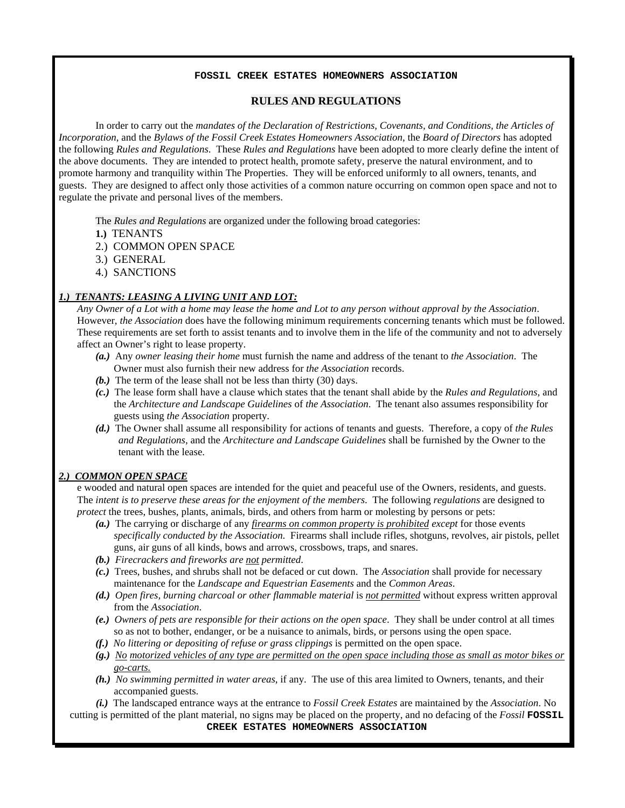#### **FOSSIL CREEK ESTATES HOMEOWNERS ASSOCIATION**

# **RULES AND REGULATIONS**

In order to carry out the *mandates of the Declaration of Restrictions, Covenants, and Conditions, the Articles of Incorporation*, and the *Bylaws of the Fossil Creek Estates Homeowners Association*, the *Board of Directors* has adopted the following *Rules and Regulations*. These *Rules and Regulations* have been adopted to more clearly define the intent of the above documents. They are intended to protect health, promote safety, preserve the natural environment, and to promote harmony and tranquility within The Properties. They will be enforced uniformly to all owners, tenants, and guests. They are designed to affect only those activities of a common nature occurring on common open space and not to regulate the private and personal lives of the members.

The *Rules and Regulations* are organized under the following broad categories:

- **1.)** TENANTS
- 2.) COMMON OPEN SPACE
- 3.) GENERAL
- 4.) SANCTIONS

#### *1.) TENANTS: LEASING A LIVING UNIT AND LOT:*

*Any Owner of a Lot with a home may lease the home and Lot to any person without approval by the Association*. However, *the Association* does have the following minimum requirements concerning tenants which must be followed. These requirements are set forth to assist tenants and to involve them in the life of the community and not to adversely affect an Owner's right to lease property.

- *(a.)* Any *owner leasing their home* must furnish the name and address of the tenant to *the Association*. The Owner must also furnish their new address for *the Association* records.
- *(b.)* The term of the lease shall not be less than thirty (30) days.
- *(c.)* The lease form shall have a clause which states that the tenant shall abide by the *Rules and Regulations*, and the *Architecture and Landscape Guidelines* of *the Association*. The tenant also assumes responsibility for guests using *the Association* property.
- *(d.)* The Owner shall assume all responsibility for actions of tenants and guests. Therefore, a copy of *the Rules and Regulations*, and the *Architecture and Landscape Guidelines* shall be furnished by the Owner to the tenant with the lease.

#### *2.) COMMON OPEN SPACE*

e wooded and natural open spaces are intended for the quiet and peaceful use of the Owners, residents, and guests. The *intent is to preserve these areas for the enjoyment of the members*. The following *regulations* are designed to *protect* the trees, bushes, plants, animals, birds, and others from harm or molesting by persons or pets:

- *(a.)* The carrying or discharge of any *firearms on common property is prohibited except* for those events *specifically conducted by the Association*. Firearms shall include rifles, shotguns, revolves, air pistols, pellet guns, air guns of all kinds, bows and arrows, crossbows, traps, and snares.
- *(b.) Firecrackers and fireworks are not permitted*.
- *(c.)* Trees, bushes, and shrubs shall not be defaced or cut down. The *Association* shall provide for necessary maintenance for the *Landscape and Equestrian Easements* and the *Common Areas*.
- *(d.) Open fires, burning charcoal or other flammable material* is *not permitted* without express written approval from the *Association*.
- *(e.) Owners of pets are responsible for their actions on the open space*. They shall be under control at all times so as not to bother, endanger, or be a nuisance to animals, birds, or persons using the open space.
- *(f.) No littering or depositing of refuse or grass clippings* is permitted on the open space.
- *(g.) No motorized vehicles of any type are permitted on the open space including those as small as motor bikes or go-carts.*
- *(h.) No swimming permitted in water areas*, if any. The use of this area limited to Owners, tenants, and their accompanied guests.
- *(i.)* The landscaped entrance ways at the entrance to *Fossil Creek Estates* are maintained by the *Association*. No

cutting is permitted of the plant material, no signs may be placed on the property, and no defacing of the *Fossil* **FOSSIL CREEK ESTATES HOMEOWNERS ASSOCIATION**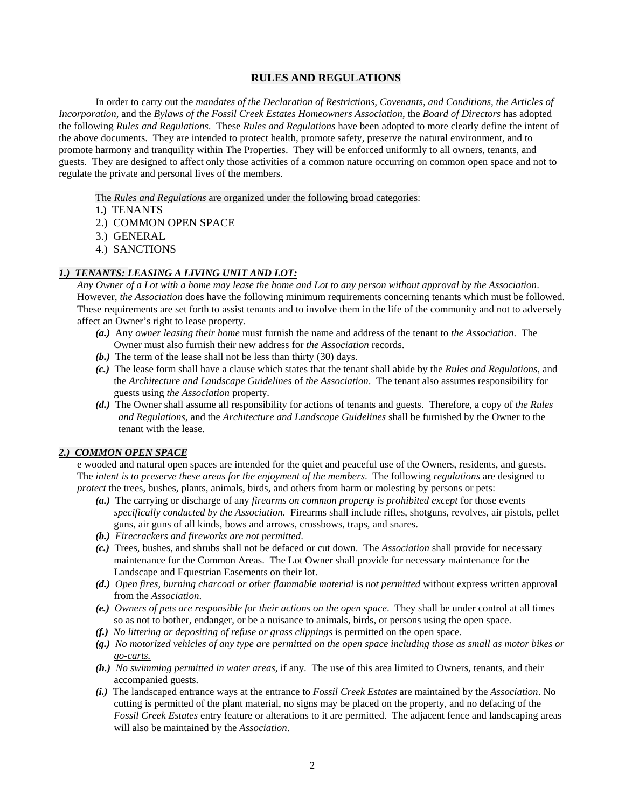## **RULES AND REGULATIONS**

In order to carry out the *mandates of the Declaration of Restrictions, Covenants, and Conditions, the Articles of Incorporation*, and the *Bylaws of the Fossil Creek Estates Homeowners Association*, the *Board of Directors* has adopted the following *Rules and Regulations*. These *Rules and Regulations* have been adopted to more clearly define the intent of the above documents. They are intended to protect health, promote safety, preserve the natural environment, and to promote harmony and tranquility within The Properties. They will be enforced uniformly to all owners, tenants, and guests. They are designed to affect only those activities of a common nature occurring on common open space and not to regulate the private and personal lives of the members.

The *Rules and Regulations* are organized under the following broad categories:

- **1.)** TENANTS
- 2.) COMMON OPEN SPACE
- 3.) GENERAL
- 4.) SANCTIONS

## *1.) TENANTS: LEASING A LIVING UNIT AND LOT:*

*Any Owner of a Lot with a home may lease the home and Lot to any person without approval by the Association*. However, *the Association* does have the following minimum requirements concerning tenants which must be followed. These requirements are set forth to assist tenants and to involve them in the life of the community and not to adversely affect an Owner's right to lease property.

- *(a.)* Any *owner leasing their home* must furnish the name and address of the tenant to *the Association*. The Owner must also furnish their new address for *the Association* records.
- *(b.)* The term of the lease shall not be less than thirty (30) days.
- *(c.)* The lease form shall have a clause which states that the tenant shall abide by the *Rules and Regulations*, and the *Architecture and Landscape Guidelines* of *the Association*. The tenant also assumes responsibility for guests using *the Association* property.
- *(d.)* The Owner shall assume all responsibility for actions of tenants and guests. Therefore, a copy of *the Rules and Regulations*, and the *Architecture and Landscape Guidelines* shall be furnished by the Owner to the tenant with the lease.

#### *2.) COMMON OPEN SPACE*

e wooded and natural open spaces are intended for the quiet and peaceful use of the Owners, residents, and guests. The *intent is to preserve these areas for the enjoyment of the members*. The following *regulations* are designed to *protect* the trees, bushes, plants, animals, birds, and others from harm or molesting by persons or pets:

- *(a.)* The carrying or discharge of any *firearms on common property is prohibited except* for those events *specifically conducted by the Association*. Firearms shall include rifles, shotguns, revolves, air pistols, pellet guns, air guns of all kinds, bows and arrows, crossbows, traps, and snares.
- *(b.) Firecrackers and fireworks are not permitted*.
- *(c.)* Trees, bushes, and shrubs shall not be defaced or cut down. The *Association* shall provide for necessary maintenance for the Common Areas. The Lot Owner shall provide for necessary maintenance for the Landscape and Equestrian Easements on their lot.
- *(d.) Open fires, burning charcoal or other flammable material* is *not permitted* without express written approval from the *Association*.
- *(e.) Owners of pets are responsible for their actions on the open space*. They shall be under control at all times so as not to bother, endanger, or be a nuisance to animals, birds, or persons using the open space.
- *(f.) No littering or depositing of refuse or grass clippings* is permitted on the open space.
- *(g.) No motorized vehicles of any type are permitted on the open space including those as small as motor bikes or go-carts.*
- *(h.) No swimming permitted in water areas*, if any. The use of this area limited to Owners, tenants, and their accompanied guests.
- *(i.)* The landscaped entrance ways at the entrance to *Fossil Creek Estates* are maintained by the *Association*. No cutting is permitted of the plant material, no signs may be placed on the property, and no defacing of the *Fossil Creek Estates* entry feature or alterations to it are permitted. The adjacent fence and landscaping areas will also be maintained by the *Association*.